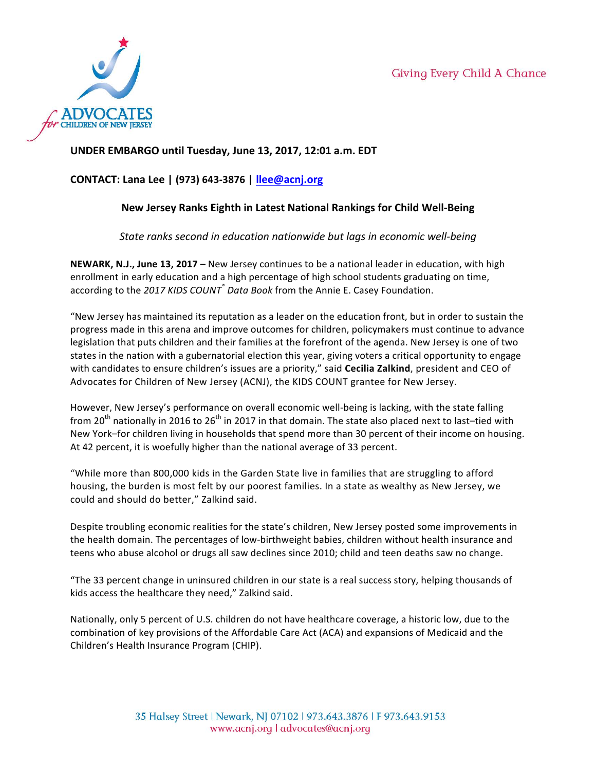

## **UNDER EMBARGO until Tuesday, June 13, 2017, 12:01 a.m. EDT**

# **CONTACT: Lana Lee | (973) 643-3876 | llee@acnj.org**

# **New Jersey Ranks Eighth in Latest National Rankings for Child Well-Being**

*State ranks second in education nationwide but lags in economic well-being* 

**NEWARK, N.J., June 13, 2017** – New Jersey continues to be a national leader in education, with high enrollment in early education and a high percentage of high school students graduating on time, according to the 2017 KIDS COUNT<sup>®</sup> Data Book from the Annie E. Casey Foundation.

"New Jersey has maintained its reputation as a leader on the education front, but in order to sustain the progress made in this arena and improve outcomes for children, policymakers must continue to advance legislation that puts children and their families at the forefront of the agenda. New Jersey is one of two states in the nation with a gubernatorial election this year, giving voters a critical opportunity to engage with candidates to ensure children's issues are a priority," said **Cecilia Zalkind**, president and CEO of Advocates for Children of New Jersey (ACNJ), the KIDS COUNT grantee for New Jersey.

However, New Jersey's performance on overall economic well-being is lacking, with the state falling from 20<sup>th</sup> nationally in 2016 to 26<sup>th</sup> in 2017 in that domain. The state also placed next to last–tied with New York–for children living in households that spend more than 30 percent of their income on housing. At 42 percent, it is woefully higher than the national average of 33 percent.

"While more than 800,000 kids in the Garden State live in families that are struggling to afford housing, the burden is most felt by our poorest families. In a state as wealthy as New Jersey, we could and should do better," Zalkind said.

Despite troubling economic realities for the state's children, New Jersey posted some improvements in the health domain. The percentages of low-birthweight babies, children without health insurance and teens who abuse alcohol or drugs all saw declines since 2010; child and teen deaths saw no change.

"The 33 percent change in uninsured children in our state is a real success story, helping thousands of kids access the healthcare they need," Zalkind said.

Nationally, only 5 percent of U.S. children do not have healthcare coverage, a historic low, due to the combination of key provisions of the Affordable Care Act (ACA) and expansions of Medicaid and the Children's Health Insurance Program (CHIP).